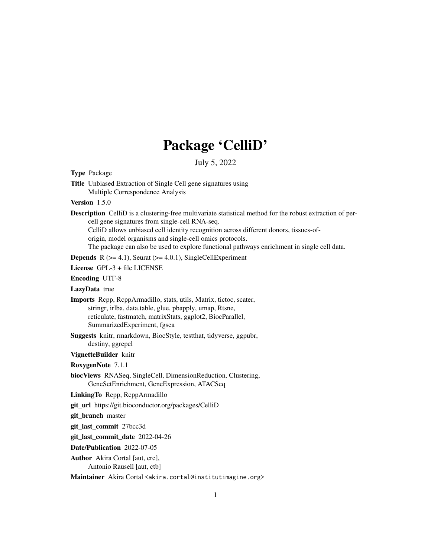# Package 'CelliD'

| July 5, 2022                                                                                                                                                                                                                                                                                                                                                                                                           |
|------------------------------------------------------------------------------------------------------------------------------------------------------------------------------------------------------------------------------------------------------------------------------------------------------------------------------------------------------------------------------------------------------------------------|
| <b>Type Package</b>                                                                                                                                                                                                                                                                                                                                                                                                    |
| Title Unbiased Extraction of Single Cell gene signatures using<br>Multiple Correspondence Analysis                                                                                                                                                                                                                                                                                                                     |
| Version $1.5.0$                                                                                                                                                                                                                                                                                                                                                                                                        |
| <b>Description</b> CelliD is a clustering-free multivariate statistical method for the robust extraction of per-<br>cell gene signatures from single-cell RNA-seq.<br>CelliD allows unbiased cell identity recognition across different donors, tissues-of-<br>origin, model organisms and single-cell omics protocols.<br>The package can also be used to explore functional pathways enrichment in single cell data. |
| <b>Depends</b> $R$ ( $>= 4.1$ ), Seurat ( $>= 4.0.1$ ), SingleCellExperiment                                                                                                                                                                                                                                                                                                                                           |
| License GPL-3 + file LICENSE                                                                                                                                                                                                                                                                                                                                                                                           |
| <b>Encoding UTF-8</b>                                                                                                                                                                                                                                                                                                                                                                                                  |
| LazyData true                                                                                                                                                                                                                                                                                                                                                                                                          |
| Imports Repp, ReppArmadillo, stats, utils, Matrix, tictoc, scater,<br>stringr, irlba, data.table, glue, pbapply, umap, Rtsne,<br>reticulate, fastmatch, matrixStats, ggplot2, BiocParallel,<br>SummarizedExperiment, fgsea                                                                                                                                                                                             |
| Suggests knitr, rmarkdown, BiocStyle, testthat, tidyverse, ggpubr,<br>destiny, ggrepel                                                                                                                                                                                                                                                                                                                                 |
| VignetteBuilder knitr                                                                                                                                                                                                                                                                                                                                                                                                  |
| RoxygenNote 7.1.1                                                                                                                                                                                                                                                                                                                                                                                                      |
| biocViews RNASeq, SingleCell, DimensionReduction, Clustering,<br>GeneSetEnrichment, GeneExpression, ATACSeq                                                                                                                                                                                                                                                                                                            |
| LinkingTo Repp, ReppArmadillo                                                                                                                                                                                                                                                                                                                                                                                          |
| git_url https://git.bioconductor.org/packages/CelliD                                                                                                                                                                                                                                                                                                                                                                   |
| git_branch master                                                                                                                                                                                                                                                                                                                                                                                                      |
| git_last_commit 27bcc3d                                                                                                                                                                                                                                                                                                                                                                                                |
| git_last_commit_date 2022-04-26                                                                                                                                                                                                                                                                                                                                                                                        |
| Date/Publication 2022-07-05                                                                                                                                                                                                                                                                                                                                                                                            |
| Author Akira Cortal [aut, cre],<br>Antonio Rausell [aut, ctb]                                                                                                                                                                                                                                                                                                                                                          |

Maintainer Akira Cortal <akira.cortal@institutimagine.org>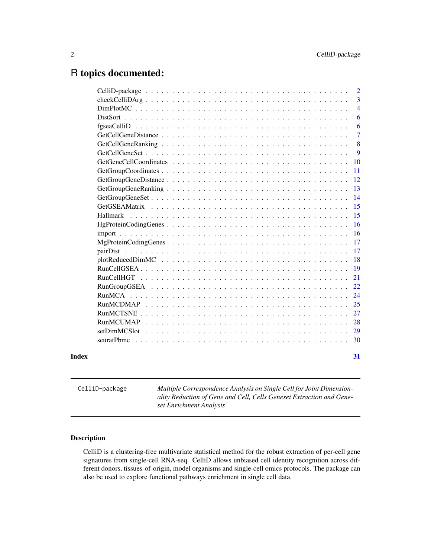## <span id="page-1-0"></span>R topics documented:

|       |                 | $\overline{2}$ |
|-------|-----------------|----------------|
|       |                 | 3              |
|       |                 | $\overline{4}$ |
|       |                 | 6              |
|       |                 | 6              |
|       |                 | $\overline{7}$ |
|       |                 | 8              |
|       |                 | 9              |
|       |                 | 10             |
|       |                 | 11             |
|       |                 | 12             |
|       |                 | 13             |
|       |                 | 14             |
|       |                 | 15             |
|       | <b>Hallmark</b> | 15             |
|       |                 | <b>16</b>      |
|       |                 | <b>16</b>      |
|       |                 | 17             |
|       |                 | <b>17</b>      |
|       |                 | 18             |
|       |                 | 19             |
|       |                 | 21             |
|       |                 | 22             |
|       |                 | 24             |
|       |                 | 25             |
|       |                 | 27             |
|       |                 | 28             |
|       |                 | 29             |
|       |                 | 30             |
|       |                 |                |
| Index |                 | 31             |
|       |                 |                |

CelliD-package *Multiple Correspondence Analysis on Single Cell for Joint Dimensionality Reduction of Gene and Cell, Cells Geneset Extraction and Geneset Enrichment Analysis*

## Description

CelliD is a clustering-free multivariate statistical method for the robust extraction of per-cell gene signatures from single-cell RNA-seq. CelliD allows unbiased cell identity recognition across different donors, tissues-of-origin, model organisms and single-cell omics protocols. The package can also be used to explore functional pathways enrichment in single cell data.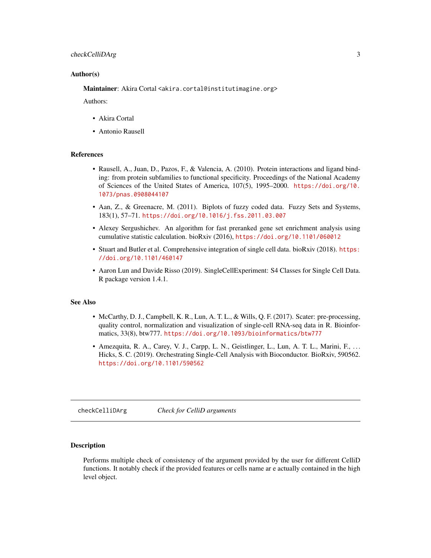## <span id="page-2-0"></span>checkCelliDArg 3

#### Author(s)

Maintainer: Akira Cortal <akira.cortal@institutimagine.org>

Authors:

- Akira Cortal
- Antonio Rausell

#### References

- Rausell, A., Juan, D., Pazos, F., & Valencia, A. (2010). Protein interactions and ligand binding: from protein subfamilies to functional specificity. Proceedings of the National Academy of Sciences of the United States of America, 107(5), 1995–2000. [https://doi.org/10.](https://doi.org/10.1073/pnas.0908044107) [1073/pnas.0908044107](https://doi.org/10.1073/pnas.0908044107)
- Aan, Z., & Greenacre, M. (2011). Biplots of fuzzy coded data. Fuzzy Sets and Systems, 183(1), 57–71. <https://doi.org/10.1016/j.fss.2011.03.007>
- Alexey Sergushichev. An algorithm for fast preranked gene set enrichment analysis using cumulative statistic calculation. bioRxiv (2016), <https://doi.org/10.1101/060012>
- Stuart and Butler et al. Comprehensive integration of single cell data. bioRxiv (2018). [https:](https://doi.org/10.1101/460147) [//doi.org/10.1101/460147](https://doi.org/10.1101/460147)
- Aaron Lun and Davide Risso (2019). SingleCellExperiment: S4 Classes for Single Cell Data. R package version 1.4.1.

#### See Also

- McCarthy, D. J., Campbell, K. R., Lun, A. T. L., & Wills, Q. F. (2017). Scater: pre-processing, quality control, normalization and visualization of single-cell RNA-seq data in R. Bioinformatics, 33(8), btw777. <https://doi.org/10.1093/bioinformatics/btw777>
- Amezquita, R. A., Carey, V. J., Carpp, L. N., Geistlinger, L., Lun, A. T. L., Marini, F., . . . Hicks, S. C. (2019). Orchestrating Single-Cell Analysis with Bioconductor. BioRxiv, 590562. <https://doi.org/10.1101/590562>

checkCelliDArg *Check for CelliD arguments*

#### Description

Performs multiple check of consistency of the argument provided by the user for different CelliD functions. It notably check if the provided features or cells name ar e actually contained in the high level object.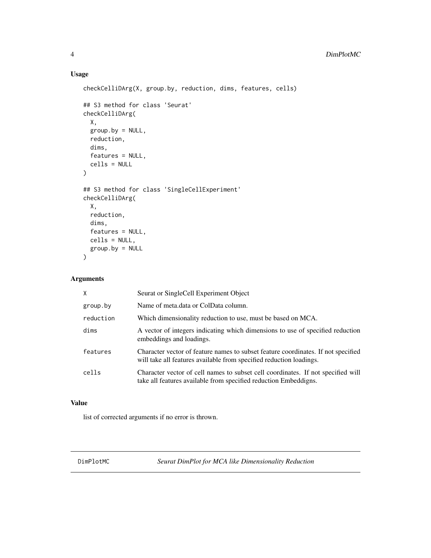## Usage

```
checkCelliDArg(X, group.by, reduction, dims, features, cells)
## S3 method for class 'Seurat'
checkCelliDArg(
 X,
 group.by = NULL,
 reduction,
 dims,
  features = NULL,
 cells = NULL
\mathcal{L}## S3 method for class 'SingleCellExperiment'
checkCelliDArg(
 X,
  reduction,
 dims,
  features = NULL,
 cells = NULL,
 group.py = NULL\mathcal{L}
```
## Arguments

| $\mathsf{x}$ | Seurat or SingleCell Experiment Object                                                                                                                   |
|--------------|----------------------------------------------------------------------------------------------------------------------------------------------------------|
| group.by     | Name of meta.data or ColData column.                                                                                                                     |
| reduction    | Which dimensionality reduction to use, must be based on MCA.                                                                                             |
| dims         | A vector of integers indicating which dimensions to use of specified reduction<br>embeddings and loadings.                                               |
| features     | Character vector of feature names to subset feature coordinates. If not specified<br>will take all features available from specified reduction loadings. |
| cells        | Character vector of cell names to subset cell coordinates. If not specified will<br>take all features available from specified reduction Embeddigns.     |

## Value

list of corrected arguments if no error is thrown.

DimPlotMC *Seurat DimPlot for MCA like Dimensionality Reduction*

<span id="page-3-0"></span>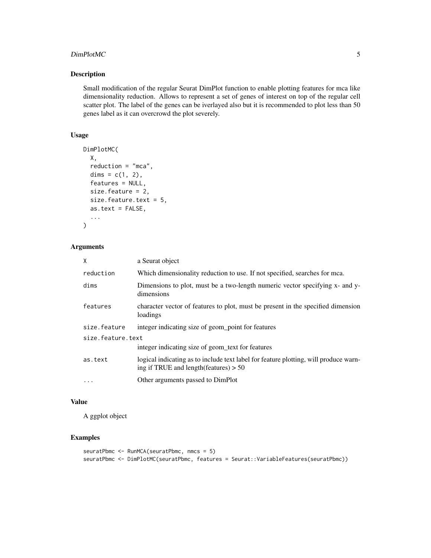## DimPlotMC 5

## Description

Small modification of the regular Seurat DimPlot function to enable plotting features for mca like dimensionality reduction. Allows to represent a set of genes of interest on top of the regular cell scatter plot. The label of the genes can be iverlayed also but it is recommended to plot less than 50 genes label as it can overcrowd the plot severely.

## Usage

```
DimPlotMC(
 X,
  reduction = "mca",
  dims = c(1, 2),
  features = NULL,
  size.feature = 2,
  size.feature.text = 5,
 as.text = FALSE,...
\mathcal{L}
```
## Arguments

| X                 | a Seurat object                                                                                                                         |  |
|-------------------|-----------------------------------------------------------------------------------------------------------------------------------------|--|
| reduction         | Which dimensionality reduction to use. If not specified, searches for mca.                                                              |  |
| dims              | Dimensions to plot, must be a two-length numeric vector specifying x- and y-<br>dimensions                                              |  |
| features          | character vector of features to plot, must be present in the specified dimension<br>loadings                                            |  |
| size.feature      | integer indicating size of geom_point for features                                                                                      |  |
| size.feature.text |                                                                                                                                         |  |
|                   | integer indicating size of geom_text for features                                                                                       |  |
| as.text           | logical indicating as to include text label for feature plotting, will produce warn-<br>ing if TRUE and length $(\text{features}) > 50$ |  |
| .                 | Other arguments passed to DimPlot                                                                                                       |  |

#### Value

A ggplot object

## Examples

```
seuratPbmc <- RunMCA(seuratPbmc, nmcs = 5)
seuratPbmc <- DimPlotMC(seuratPbmc, features = Seurat::VariableFeatures(seuratPbmc))
```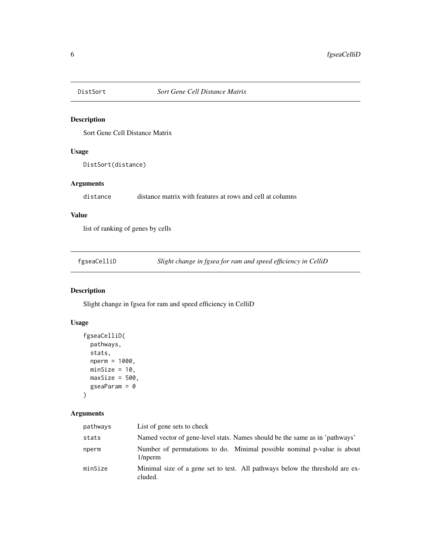<span id="page-5-0"></span>

Sort Gene Cell Distance Matrix

## Usage

DistSort(distance)

## Arguments

distance distance matrix with features at rows and cell at columns

## Value

list of ranking of genes by cells

| fgseaCelliD |  | Slight change in fgsea for ram and speed efficiency in CelliD |
|-------------|--|---------------------------------------------------------------|
|             |  |                                                               |

## Description

Slight change in fgsea for ram and speed efficiency in CelliD

## Usage

```
fgseaCelliD(
  pathways,
  stats,
  nperm = 1000,
  minSize = 10,
  maxSize = 500,
  gseaParam = 0
\mathcal{L}
```
## Arguments

| pathways | List of gene sets to check                                                              |
|----------|-----------------------------------------------------------------------------------------|
| stats    | Named vector of gene-level stats. Names should be the same as in 'pathways'             |
| nperm    | Number of permutations to do. Minimal possible nominal p-value is about<br>1/nperm      |
| minSize  | Minimal size of a gene set to test. All pathways below the threshold are ex-<br>cluded. |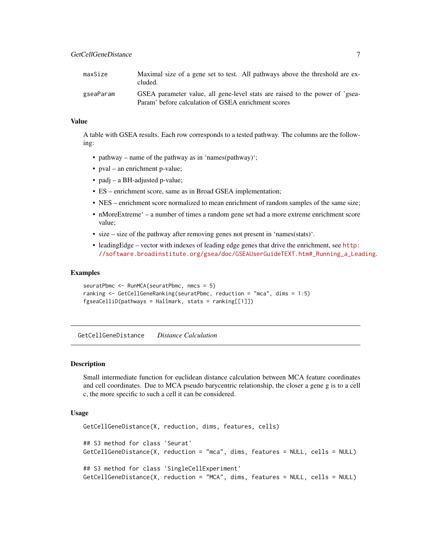<span id="page-6-0"></span>

| maxSize   | Maximal size of a gene set to test. All pathways above the threshold are ex-<br>cluded.                                             |
|-----------|-------------------------------------------------------------------------------------------------------------------------------------|
| gseaParam | GSEA parameter value, all gene-level stats are raised to the power of 'gsea-<br>Param' before calculation of GSEA enrichment scores |

## Value

A table with GSEA results. Each row corresponds to a tested pathway. The columns are the following:

- pathway name of the pathway as in 'names(pathway)';
- pval an enrichment p-value;
- padj a BH-adjusted p-value;
- ES enrichment score, same as in Broad GSEA implementation;
- NES enrichment score normalized to mean enrichment of random samples of the same size;
- nMoreExtreme' a number of times a random gene set had a more extreme enrichment score value;
- size size of the pathway after removing genes not present in 'names(stats)'.
- leadingEdge vector with indexes of leading edge genes that drive the enrichment, see [http:](http://software.broadinstitute.org/gsea/doc/GSEAUserGuideTEXT.htm#_Running_a_Leading) [//software.broadinstitute.org/gsea/doc/GSEAUserGuideTEXT.htm#\\_Running\\_a\\_Leading](http://software.broadinstitute.org/gsea/doc/GSEAUserGuideTEXT.htm#_Running_a_Leading).

#### Examples

```
seuratPbmc <- RunMCA(seuratPbmc, nmcs = 5)
ranking <- GetCellGeneRanking(seuratPbmc, reduction = "mca", dims = 1:5)
fgseaCelliD(pathways = Hallmark, stats = ranking[[1]])
```
GetCellGeneDistance *Distance Calculation*

#### Description

Small intermediate function for euclidean distance calculation between MCA feature coordinates and cell coordinates. Due to MCA pseudo barycentric relationship, the closer a gene g is to a cell c, the more specific to such a cell it can be considered.

```
GetCellGeneDistance(X, reduction, dims, features, cells)
## S3 method for class 'Seurat'
GetCellGeneDistance(X, reduction = "mca", dims, features = NULL, cells = NULL)
## S3 method for class 'SingleCellExperiment'
GetCellGeneDistance(X, reduction = "MCA", dims, features = NULL, cells = NULL)
```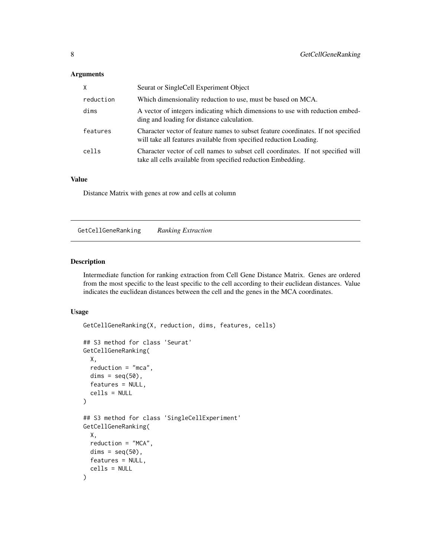## <span id="page-7-0"></span>Arguments

| X         | Seurat or SingleCell Experiment Object                                                                                                                  |
|-----------|---------------------------------------------------------------------------------------------------------------------------------------------------------|
| reduction | Which dimensionality reduction to use, must be based on MCA.                                                                                            |
| dims      | A vector of integers indicating which dimensions to use with reduction embed-<br>ding and loading for distance calculation.                             |
| features  | Character vector of feature names to subset feature coordinates. If not specified<br>will take all features available from specified reduction Loading. |
| cells     | Character vector of cell names to subset cell coordinates. If not specified will<br>take all cells available from specified reduction Embedding.        |

## Value

Distance Matrix with genes at row and cells at column

GetCellGeneRanking *Ranking Extraction*

## Description

Intermediate function for ranking extraction from Cell Gene Distance Matrix. Genes are ordered from the most specific to the least specific to the cell according to their euclidean distances. Value indicates the euclidean distances between the cell and the genes in the MCA coordinates.

```
GetCellGeneRanking(X, reduction, dims, features, cells)
## S3 method for class 'Seurat'
GetCellGeneRanking(
 X,
  reduction = "mca",
 dims = seq(50),
  features = NULL,
 cells = NULL
)
## S3 method for class 'SingleCellExperiment'
GetCellGeneRanking(
 X,
 reduction = "MCA",
 dims = seq(50),
 features = NULL,
  cells = NULL
)
```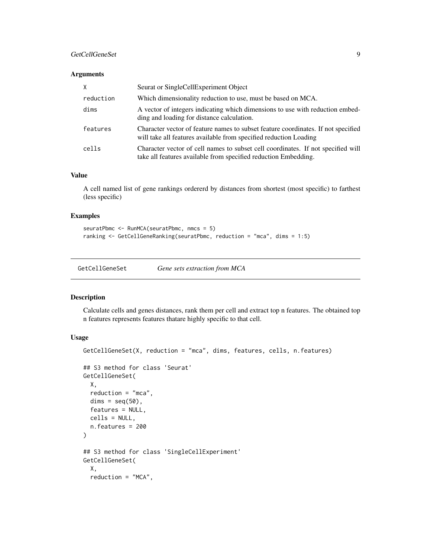## <span id="page-8-0"></span>GetCellGeneSet 9

## Arguments

| X         | Seurat or SingleCellExperiment Object                                                                                                                  |
|-----------|--------------------------------------------------------------------------------------------------------------------------------------------------------|
| reduction | Which dimensionality reduction to use, must be based on MCA.                                                                                           |
| dims      | A vector of integers indicating which dimensions to use with reduction embed-<br>ding and loading for distance calculation.                            |
| features  | Character vector of feature names to subset feature coordinates. If not specified<br>will take all features available from specified reduction Loading |
| cells     | Character vector of cell names to subset cell coordinates. If not specified will<br>take all features available from specified reduction Embedding.    |

## Value

A cell named list of gene rankings ordererd by distances from shortest (most specific) to farthest (less specific)

#### Examples

```
seuratPbmc <- RunMCA(seuratPbmc, nmcs = 5)
ranking <- GetCellGeneRanking(seuratPbmc, reduction = "mca", dims = 1:5)
```

| GetCellGeneSet | Gene sets extraction from MCA |  |
|----------------|-------------------------------|--|
|                |                               |  |

#### Description

Calculate cells and genes distances, rank them per cell and extract top n features. The obtained top n features represents features thatare highly specific to that cell.

```
GetCellGeneSet(X, reduction = "mca", dims, features, cells, n.features)
## S3 method for class 'Seurat'
GetCellGeneSet(
 X,
 reduction = "mca",
  dims = seq(50),
  features = NULL,
  cells = NULL,
  n.features = 200
\lambda## S3 method for class 'SingleCellExperiment'
GetCellGeneSet(
  X,
  reduction = "MCA",
```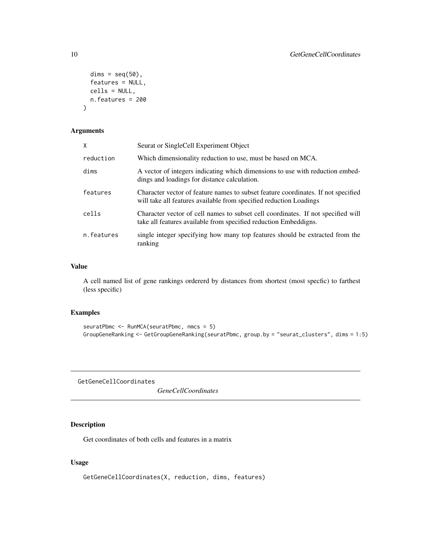```
dims = seq(50),
 features = NULL,
 cells = NULL,
 n.features = 200
)
```
## Arguments

| X          | Seurat or SingleCell Experiment Object                                                                                                                  |
|------------|---------------------------------------------------------------------------------------------------------------------------------------------------------|
| reduction  | Which dimensionality reduction to use, must be based on MCA.                                                                                            |
| dims       | A vector of integers indicating which dimensions to use with reduction embed-<br>dings and loadings for distance calculation.                           |
| features   | Character vector of feature names to subset feature coordinates. If not specified<br>will take all features available from specified reduction Loadings |
| cells      | Character vector of cell names to subset cell coordinates. If not specified will<br>take all features available from specified reduction Embeddigns.    |
| n.features | single integer specifying how many top features should be extracted from the<br>ranking                                                                 |

#### Value

A cell named list of gene rankings ordererd by distances from shortest (most specfic) to farthest (less specific)

#### Examples

```
seuratPbmc <- RunMCA(seuratPbmc, nmcs = 5)
GroupGeneRanking <- GetGroupGeneRanking(seuratPbmc, group.by = "seurat_clusters", dims = 1:5)
```
GetGeneCellCoordinates

*GeneCellCoordinates*

## Description

Get coordinates of both cells and features in a matrix

## Usage

GetGeneCellCoordinates(X, reduction, dims, features)

<span id="page-9-0"></span>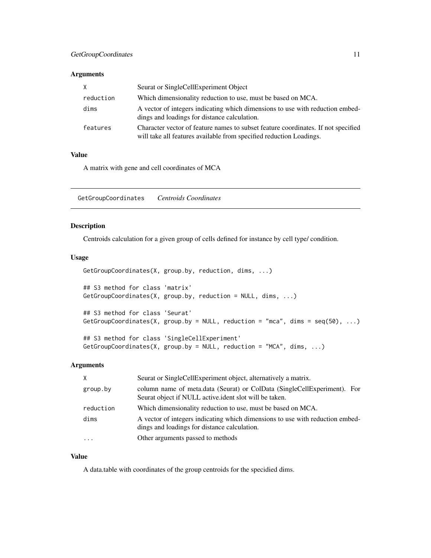## <span id="page-10-0"></span>GetGroupCoordinates 11

## Arguments

| X         | Seurat or SingleCellExperiment Object                                                                                                                    |
|-----------|----------------------------------------------------------------------------------------------------------------------------------------------------------|
| reduction | Which dimensionality reduction to use, must be based on MCA.                                                                                             |
| dims      | A vector of integers indicating which dimensions to use with reduction embed-<br>dings and loadings for distance calculation.                            |
| features  | Character vector of feature names to subset feature coordinates. If not specified<br>will take all features available from specified reduction Loadings. |

## Value

A matrix with gene and cell coordinates of MCA

GetGroupCoordinates *Centroids Coordinates*

## Description

Centroids calculation for a given group of cells defined for instance by cell type/ condition.

## Usage

```
GetGroupCoordinates(X, group.by, reduction, dims, ...)
## S3 method for class 'matrix'
GetGroupCoordinates(X, group.by, reduction = NULL, dims, ...)
## S3 method for class 'Seurat'
GetGroupCoordinates(X, group.by = NULL, reduction = "mca", dims = seq(50), ...)
## S3 method for class 'SingleCellExperiment'
GetGroupCoordinates(X, group.by = NULL, reduction = "MCA", dims, ...)
```
#### Arguments

| X         | Seurat or SingleCellExperiment object, alternatively a matrix.                                                                     |
|-----------|------------------------------------------------------------------------------------------------------------------------------------|
| group.by  | column name of meta.data (Seurat) or ColData (SingleCellExperiment). For<br>Seurat object if NULL active ident slot will be taken. |
| reduction | Which dimensionality reduction to use, must be based on MCA.                                                                       |
| dims      | A vector of integers indicating which dimensions to use with reduction embed-<br>dings and loadings for distance calculation.      |
| $\cdot$   | Other arguments passed to methods                                                                                                  |

#### Value

A data.table with coordinates of the group centroids for the specidied dims.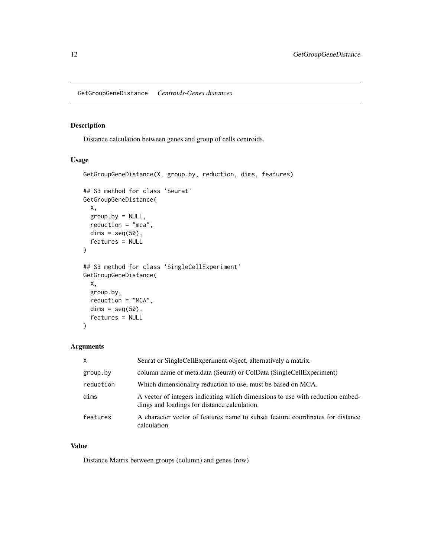<span id="page-11-0"></span>GetGroupGeneDistance *Centroids-Genes distances*

#### Description

Distance calculation between genes and group of cells centroids.

## Usage

```
GetGroupGeneDistance(X, group.by, reduction, dims, features)
## S3 method for class 'Seurat'
GetGroupGeneDistance(
  X,
  group.by = NULL,reduction = "mca",
 dims = seq(50),
  features = NULL
)
## S3 method for class 'SingleCellExperiment'
GetGroupGeneDistance(
 X,
 group.by,
 reduction = "MCA",
 dims = seq(50),
  features = NULL
\mathcal{L}
```
## Arguments

| X         | Seurat or SingleCellExperiment object, alternatively a matrix.                                                                |
|-----------|-------------------------------------------------------------------------------------------------------------------------------|
| group.by  | column name of meta.data (Seurat) or ColData (SingleCellExperiment)                                                           |
| reduction | Which dimensionality reduction to use, must be based on MCA.                                                                  |
| dims      | A vector of integers indicating which dimensions to use with reduction embed-<br>dings and loadings for distance calculation. |
| features  | A character vector of features name to subset feature coordinates for distance<br>calculation.                                |

## Value

Distance Matrix between groups (column) and genes (row)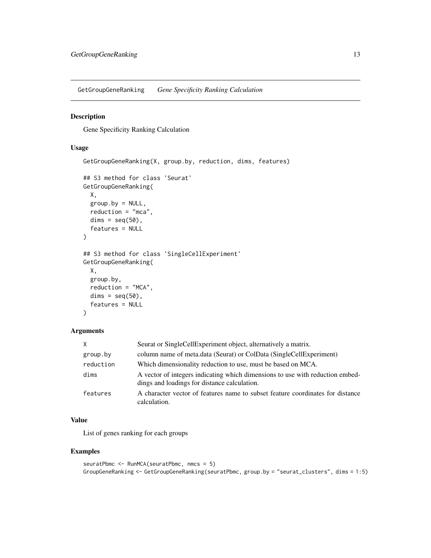<span id="page-12-0"></span>GetGroupGeneRanking *Gene Specificity Ranking Calculation*

## Description

Gene Specificity Ranking Calculation

## Usage

```
GetGroupGeneRanking(X, group.by, reduction, dims, features)
## S3 method for class 'Seurat'
GetGroupGeneRanking(
  X,
 group.by = NULL,
  reduction = "mca",
 dims = seq(50),
  features = NULL
)
## S3 method for class 'SingleCellExperiment'
GetGroupGeneRanking(
 X,
  group.by,
  reduction = "MCA",
 dims = seq(50),
  features = NULL
)
```
#### Arguments

| X         | Seurat or SingleCellExperiment object, alternatively a matrix.                                                                |
|-----------|-------------------------------------------------------------------------------------------------------------------------------|
| group.by  | column name of meta.data (Seurat) or ColData (SingleCellExperiment)                                                           |
| reduction | Which dimensionality reduction to use, must be based on MCA.                                                                  |
| dims      | A vector of integers indicating which dimensions to use with reduction embed-<br>dings and loadings for distance calculation. |
| features  | A character vector of features name to subset feature coordinates for distance<br>calculation.                                |

## Value

List of genes ranking for each groups

## Examples

```
seuratPbmc <- RunMCA(seuratPbmc, nmcs = 5)
GroupGeneRanking <- GetGroupGeneRanking(seuratPbmc, group.by = "seurat_clusters", dims = 1:5)
```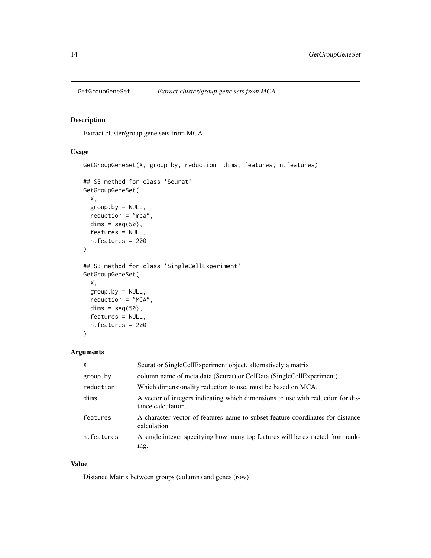<span id="page-13-0"></span>

Extract cluster/group gene sets from MCA

## Usage

```
GetGroupGeneSet(X, group.by, reduction, dims, features, n.features)
## S3 method for class 'Seurat'
GetGroupGeneSet(
 X,
 group.py = NULL,reduction = "mca",
 dims = seq(50),
 features = NULL,
  n.features = 200
\lambda## S3 method for class 'SingleCellExperiment'
GetGroupGeneSet(
 X,
 group.py = NULL,reduction = "MCA",
 dims = seq(50),
  features = NULL,
 n.features = 200
\mathcal{L}
```
#### Arguments

| X          | Seurat or SingleCellExperiment object, alternatively a matrix.                                        |
|------------|-------------------------------------------------------------------------------------------------------|
| group.by   | column name of meta.data (Seurat) or ColData (SingleCellExperiment).                                  |
| reduction  | Which dimensionality reduction to use, must be based on MCA.                                          |
| dims       | A vector of integers indicating which dimensions to use with reduction for dis-<br>tance calculation. |
| features   | A character vector of features name to subset feature coordinates for distance<br>calculation.        |
| n.features | A single integer specifying how many top features will be extracted from rank-<br>ing.                |

### Value

Distance Matrix between groups (column) and genes (row)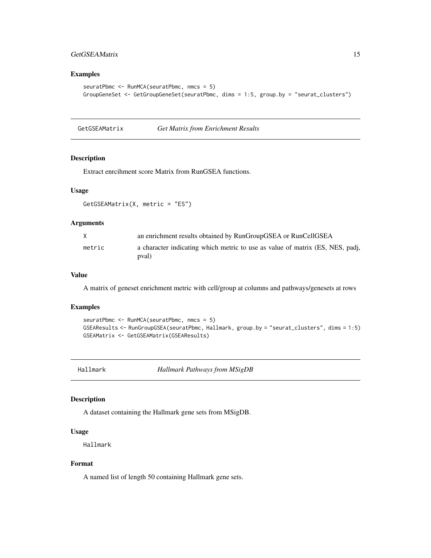## <span id="page-14-0"></span>GetGSEAMatrix 15

## Examples

```
seuratPbmc <- RunMCA(seuratPbmc, nmcs = 5)
GroupGeneSet <- GetGroupGeneSet(seuratPbmc, dims = 1:5, group.by = "seurat_clusters")
```
GetGSEAMatrix *Get Matrix from Enrichment Results*

## Description

Extract enrcihment score Matrix from RunGSEA functions.

## Usage

GetGSEAMatrix(X, metric = "ES")

#### Arguments

| X      | an enrichment results obtained by RunGroupGSEA or RunCellGSEA                          |
|--------|----------------------------------------------------------------------------------------|
| metric | a character indicating which metric to use as value of matrix (ES, NES, padj,<br>(pval |

## Value

A matrix of geneset enrichment metric with cell/group at columns and pathways/genesets at rows

#### Examples

```
seuratPbmc <- RunMCA(seuratPbmc, nmcs = 5)
GSEAResults <- RunGroupGSEA(seuratPbmc, Hallmark, group.by = "seurat_clusters", dims = 1:5)
GSEAMatrix <- GetGSEAMatrix(GSEAResults)
```
Hallmark *Hallmark Pathways from MSigDB*

## Description

A dataset containing the Hallmark gene sets from MSigDB.

#### Usage

Hallmark

## Format

A named list of length 50 containing Hallmark gene sets.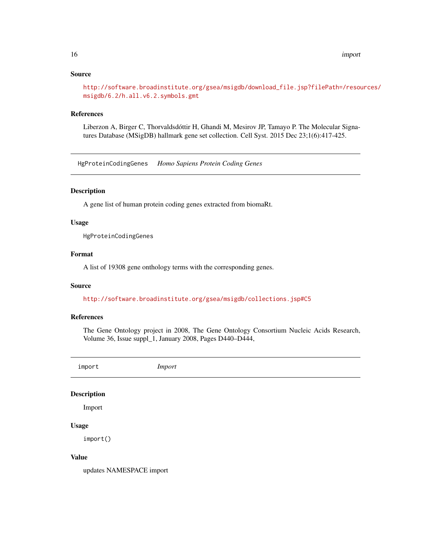## <span id="page-15-0"></span>Source

[http://software.broadinstitute.org/gsea/msigdb/download\\_file.jsp?filePath=/resou](http://software.broadinstitute.org/gsea/msigdb/download_file.jsp?filePath=/resources/msigdb/6.2/h.all.v6.2.symbols.gmt)rces/ [msigdb/6.2/h.all.v6.2.symbols.gmt](http://software.broadinstitute.org/gsea/msigdb/download_file.jsp?filePath=/resources/msigdb/6.2/h.all.v6.2.symbols.gmt)

## References

Liberzon A, Birger C, Thorvaldsdóttir H, Ghandi M, Mesirov JP, Tamayo P. The Molecular Signatures Database (MSigDB) hallmark gene set collection. Cell Syst. 2015 Dec 23;1(6):417-425.

HgProteinCodingGenes *Homo Sapiens Protein Coding Genes*

#### Description

A gene list of human protein coding genes extracted from biomaRt.

#### Usage

HgProteinCodingGenes

## Format

A list of 19308 gene onthology terms with the corresponding genes.

#### Source

<http://software.broadinstitute.org/gsea/msigdb/collections.jsp#C5>

## References

The Gene Ontology project in 2008, The Gene Ontology Consortium Nucleic Acids Research, Volume 36, Issue suppl\_1, January 2008, Pages D440–D444,

import *Import*

#### Description

Import

#### Usage

import()

#### Value

updates NAMESPACE import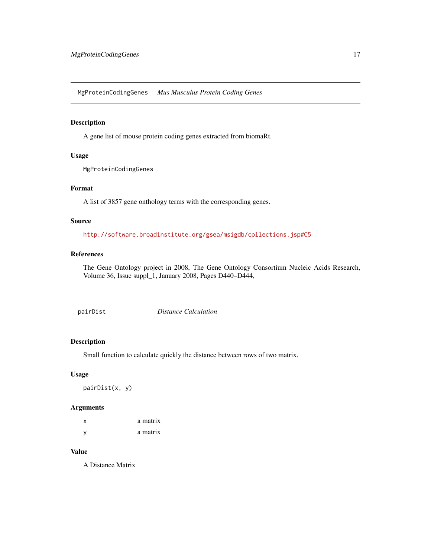<span id="page-16-0"></span>MgProteinCodingGenes *Mus Musculus Protein Coding Genes*

#### Description

A gene list of mouse protein coding genes extracted from biomaRt.

## Usage

MgProteinCodingGenes

## Format

A list of 3857 gene onthology terms with the corresponding genes.

#### Source

<http://software.broadinstitute.org/gsea/msigdb/collections.jsp#C5>

## References

The Gene Ontology project in 2008, The Gene Ontology Consortium Nucleic Acids Research, Volume 36, Issue suppl\_1, January 2008, Pages D440–D444,

pairDist *Distance Calculation*

## Description

Small function to calculate quickly the distance between rows of two matrix.

#### Usage

pairDist(x, y)

## Arguments

| x | a matrix |
|---|----------|
| У | a matrix |

#### Value

A Distance Matrix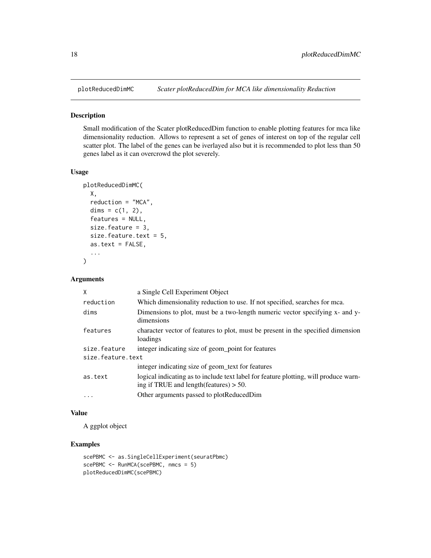<span id="page-17-0"></span>

Small modification of the Scater plotReducedDim function to enable plotting features for mca like dimensionality reduction. Allows to represent a set of genes of interest on top of the regular cell scatter plot. The label of the genes can be iverlayed also but it is recommended to plot less than 50 genes label as it can overcrowd the plot severely.

### Usage

```
plotReducedDimMC(
 X,
  reduction = "MCA",
 dims = c(1, 2),
  features = NULL,
  size.feature = 3,
  size.feature.text = 5,
  as.text = FALSE,
  ...
)
```
#### Arguments

| X                 | a Single Cell Experiment Object                                                                                                           |  |
|-------------------|-------------------------------------------------------------------------------------------------------------------------------------------|--|
| reduction         | Which dimensionality reduction to use. If not specified, searches for mca.                                                                |  |
| dims              | Dimensions to plot, must be a two-length numeric vector specifying x- and y-<br>dimensions                                                |  |
| features          | character vector of features to plot, must be present in the specified dimension<br>loadings                                              |  |
| size.feature      | integer indicating size of geom_point for features                                                                                        |  |
| size.feature.text |                                                                                                                                           |  |
|                   | integer indicating size of geom text for features                                                                                         |  |
| as.text           | logical indicating as to include text label for feature plotting, will produce warn-<br>ing if TRUE and length $(\text{features}) > 50$ . |  |
| $\ddotsc$         | Other arguments passed to plotReducedDim                                                                                                  |  |

#### Value

A ggplot object

#### Examples

```
scePBMC <- as.SingleCellExperiment(seuratPbmc)
scePBMC <- RunMCA(scePBMC, nmcs = 5)
plotReducedDimMC(scePBMC)
```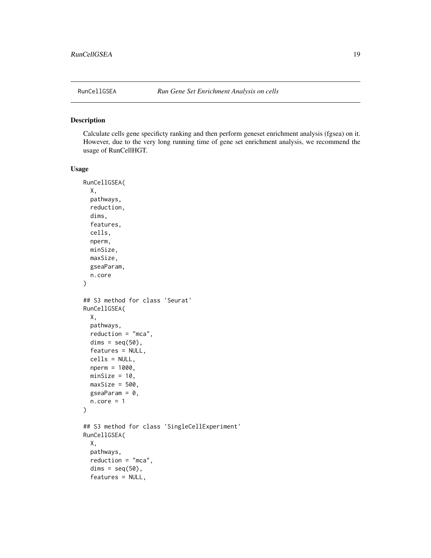<span id="page-18-0"></span>

Calculate cells gene specificty ranking and then perform geneset enrichment analysis (fgsea) on it. However, due to the very long running time of gene set enrichment analysis, we recommend the usage of RunCellHGT.

```
RunCellGSEA(
 X,
 pathways,
 reduction,
 dims,
  features,
 cells,
 nperm,
 minSize,
 maxSize,
 gseaParam,
  n.core
)
## S3 method for class 'Seurat'
RunCellGSEA(
 X,
 pathways,
 reduction = "mca",
 dims = seq(50),
  features = NULL,
 cells = NULL,
 nperm = 1000,
 minSize = 10,
 maxSize = 500,
 gseaParam = 0,
 n.core = 1)
## S3 method for class 'SingleCellExperiment'
RunCellGSEA(
 X,
 pathways,
 reduction = "mca",
  dims = seq(50),
  features = NULL,
```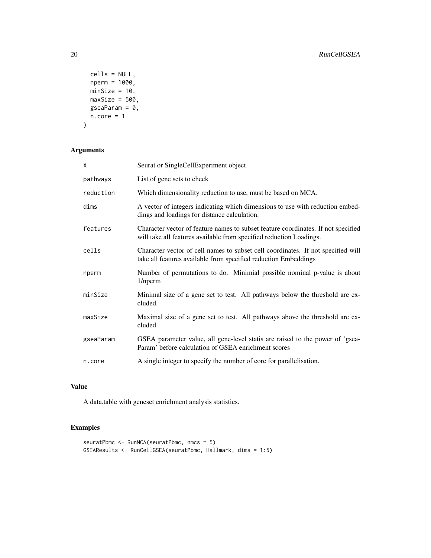```
cells = NULL,
 nperm = 1000,
 minSize = 10,
 maxSize = 500,
 gseaParam = 0,
 n.core = 1\mathcal{L}
```
## Arguments

| X         | Seurat or SingleCellExperiment object                                                                                                                    |
|-----------|----------------------------------------------------------------------------------------------------------------------------------------------------------|
| pathways  | List of gene sets to check                                                                                                                               |
| reduction | Which dimensionality reduction to use, must be based on MCA.                                                                                             |
| dims      | A vector of integers indicating which dimensions to use with reduction embed-<br>dings and loadings for distance calculation.                            |
| features  | Character vector of feature names to subset feature coordinates. If not specified<br>will take all features available from specified reduction Loadings. |
| cells     | Character vector of cell names to subset cell coordinates. If not specified will<br>take all features available from specified reduction Embeddings      |
| nperm     | Number of permutations to do. Minimial possible nominal p-value is about<br>1/nperm                                                                      |
| minSize   | Minimal size of a gene set to test. All pathways below the threshold are ex-<br>cluded.                                                                  |
| maxSize   | Maximal size of a gene set to test. All pathways above the threshold are ex-<br>cluded.                                                                  |
| gseaParam | GSEA parameter value, all gene-level statis are raised to the power of 'gsea-<br>Param' before calculation of GSEA enrichment scores                     |
| n.core    | A single integer to specify the number of core for parallelisation.                                                                                      |

## Value

A data.table with geneset enrichment analysis statistics.

## Examples

```
seuratPbmc <- RunMCA(seuratPbmc, nmcs = 5)
GSEAResults <- RunCellGSEA(seuratPbmc, Hallmark, dims = 1:5)
```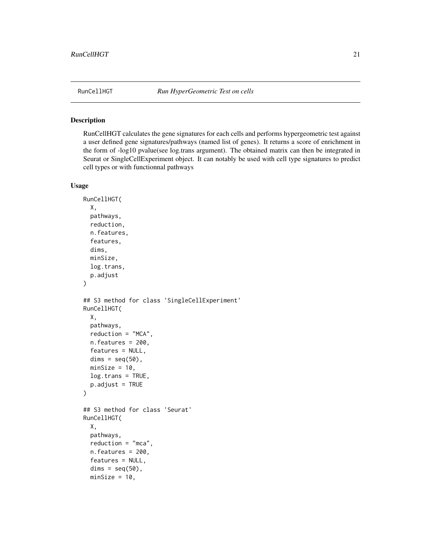<span id="page-20-0"></span>

RunCellHGT calculates the gene signatures for each cells and performs hypergeometric test against a user defined gene signatures/pathways (named list of genes). It returns a score of enrichment in the form of -log10 pvalue(see log.trans argument). The obtained matrix can then be integrated in Seurat or SingleCellExperiment object. It can notably be used with cell type signatures to predict cell types or with functionnal pathways

```
RunCellHGT(
 X,
 pathways,
  reduction,
 n.features,
  features,
 dims,
 minSize,
 log.trans,
  p.adjust
)
## S3 method for class 'SingleCellExperiment'
RunCellHGT(
 X,
 pathways,
 reduction = "MCA",
 n.features = 200,
  features = NULL,
 dims = seq(50),
 minSize = 10,
 log.trans = TRUE,
 p.addjust = TRUE)
## S3 method for class 'Seurat'
RunCellHGT(
 X,
 pathways,
  reduction = "mca",
 n.features = 200,
  features = NULL,
  dims = seq(50),
 minSize = 10,
```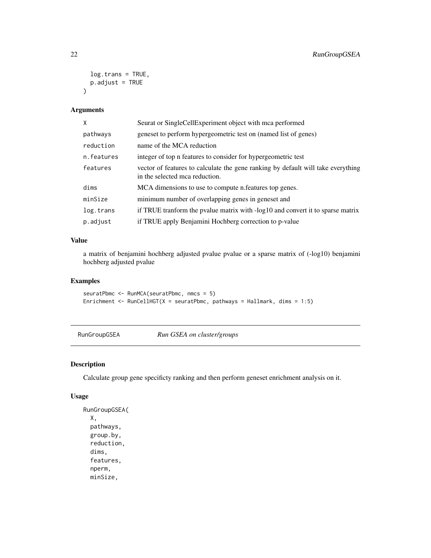```
log.trans = TRUE,
  p.addjust = TRUE\mathcal{L}
```
## Arguments

| X          | Seurat or SingleCellExperiment object with mca performed                                                           |
|------------|--------------------------------------------------------------------------------------------------------------------|
| pathways   | geneset to perform hypergeometric test on (named list of genes)                                                    |
| reduction  | name of the MCA reduction                                                                                          |
| n.features | integer of top n features to consider for hypergeometric test                                                      |
| features   | vector of features to calculate the gene ranking by default will take everything<br>in the selected mca reduction. |
| dims       | MCA dimensions to use to compute n. features top genes.                                                            |
| minSize    | minimum number of overlapping genes in geneset and                                                                 |
| log.trans  | if TRUE transform the pvalue matrix with -log10 and convert it to sparse matrix                                    |
| p.adjust   | if TRUE apply Benjamini Hochberg correction to p-value                                                             |

## Value

a matrix of benjamini hochberg adjusted pvalue pvalue or a sparse matrix of (-log10) benjamini hochberg adjusted pvalue

## Examples

```
seuratPbmc <- RunMCA(seuratPbmc, nmcs = 5)
Enrichment \leq RunCellHGT(X = seuratPbmc, pathways = Hallmark, dims = 1:5)
```
RunGroupGSEA *Run GSEA on cluster/groups*

## Description

Calculate group gene specificty ranking and then perform geneset enrichment analysis on it.

```
RunGroupGSEA(
  X,
 pathways,
  group.by,
  reduction,
  dims,
  features,
  nperm,
 minSize,
```
<span id="page-21-0"></span>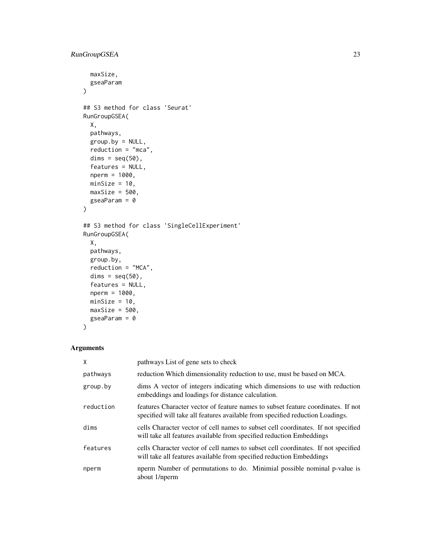```
maxSize,
 gseaParam
\mathcal{L}## S3 method for class 'Seurat'
RunGroupGSEA(
 X,
 pathways,
 group.py = NULL,reduction = "mca",
 dims = seq(50),
  features = NULL,
 nperm = 1000,
 minSize = 10,
 maxSize = 500,
 gseaParam = 0
)
## S3 method for class 'SingleCellExperiment'
RunGroupGSEA(
 X,
 pathways,
 group.by,
  reduction = "MCA",
 dims = seq(50),
  features = NULL,
 nperm = 1000,
 minSize = 10,
 maxSize = 500,
 gseaParam = 0
)
```

```
Arguments
```

| Χ         | pathways List of gene sets to check                                                                                                                               |
|-----------|-------------------------------------------------------------------------------------------------------------------------------------------------------------------|
| pathways  | reduction Which dimensionality reduction to use, must be based on MCA.                                                                                            |
| group.by  | dims A vector of integers indicating which dimensions to use with reduction<br>embeddings and loadings for distance calculation.                                  |
| reduction | features Character vector of feature names to subset feature coordinates. If not<br>specified will take all features available from specified reduction Loadings. |
| dims      | cells Character vector of cell names to subset cell coordinates. If not specified<br>will take all features available from specified reduction Embeddings         |
| features  | cells Character vector of cell names to subset cell coordinates. If not specified<br>will take all features available from specified reduction Embeddings         |
| nperm     | nperm Number of permutations to do. Minimial possible nominal p-value is<br>about 1/nperm                                                                         |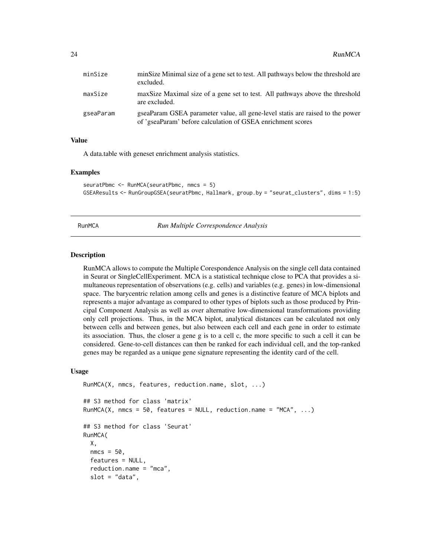<span id="page-23-0"></span>

| minSize   | minSize Minimal size of a gene set to test. All pathways below the threshold are<br>excluded.                                                |
|-----------|----------------------------------------------------------------------------------------------------------------------------------------------|
| maxSize   | maxSize Maximal size of a gene set to test. All pathways above the threshold<br>are excluded.                                                |
| gseaParam | gseaParam GSEA parameter value, all gene-level statis are raised to the power<br>of 'gseaParam' before calculation of GSEA enrichment scores |

## Value

A data.table with geneset enrichment analysis statistics.

#### Examples

```
seuratPbmc <- RunMCA(seuratPbmc, nmcs = 5)
GSEAResults <- RunGroupGSEA(seuratPbmc, Hallmark, group.by = "seurat_clusters", dims = 1:5)
```
RunMCA *Run Multiple Correspondence Analysis*

## Description

RunMCA allows to compute the Multiple Corespondence Analysis on the single cell data contained in Seurat or SingleCellExperiment. MCA is a statistical technique close to PCA that provides a simultaneous representation of observations (e.g. cells) and variables (e.g. genes) in low-dimensional space. The barycentric relation among cells and genes is a distinctive feature of MCA biplots and represents a major advantage as compared to other types of biplots such as those produced by Principal Component Analysis as well as over alternative low-dimensional transformations providing only cell projections. Thus, in the MCA biplot, analytical distances can be calculated not only between cells and between genes, but also between each cell and each gene in order to estimate its association. Thus, the closer a gene g is to a cell c, the more specific to such a cell it can be considered. Gene-to-cell distances can then be ranked for each individual cell, and the top-ranked genes may be regarded as a unique gene signature representing the identity card of the cell.

```
RunMCA(X, nmcs, features, reduction.name, slot, ...)
## S3 method for class 'matrix'
RunMCA(X, nmcs = 50, features = NULL, reduction.name = "MCA", \ldots)
## S3 method for class 'Seurat'
RunMCA(
 X,
 nmcs = 50.
  features = NULL,
  reduction.name = "mca",
  slot = "data",
```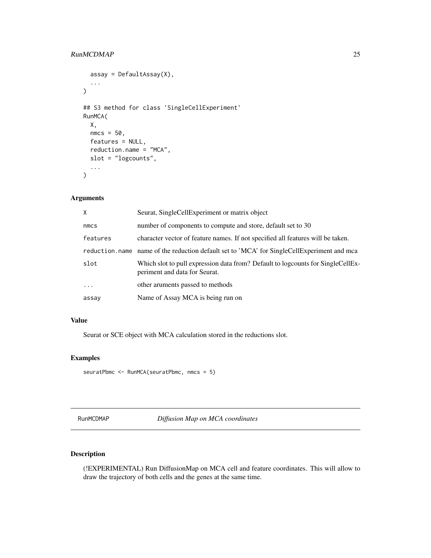## <span id="page-24-0"></span>RunMCDMAP 25

```
assay = DefaultAssay(X),
  ...
\mathcal{L}## S3 method for class 'SingleCellExperiment'
RunMCA(
 X,
 nmcs = 50,
  features = NULL,
  reduction.name = "MCA",
  slot = "logcounts",
  ...
)
```
## Arguments

| X        | Seurat, SingleCellExperiment or matrix object                                                                    |
|----------|------------------------------------------------------------------------------------------------------------------|
| nmcs     | number of components to compute and store, default set to 30                                                     |
| features | character vector of feature names. If not specified all features will be taken.                                  |
|          | reduction name name of the reduction default set to 'MCA' for SingleCellExperiment and mca                       |
| slot     | Which slot to pull expression data from? Default to logcounts for SingleCellEx-<br>periment and data for Seurat. |
|          | other aruments passed to methods                                                                                 |
| assay    | Name of Assay MCA is being run on                                                                                |

## Value

Seurat or SCE object with MCA calculation stored in the reductions slot.

## Examples

```
seuratPbmc <- RunMCA(seuratPbmc, nmcs = 5)
```
RunMCDMAP *Diffusion Map on MCA coordinates*

## Description

(!EXPERIMENTAL) Run DiffusionMap on MCA cell and feature coordinates. This will allow to draw the trajectory of both cells and the genes at the same time.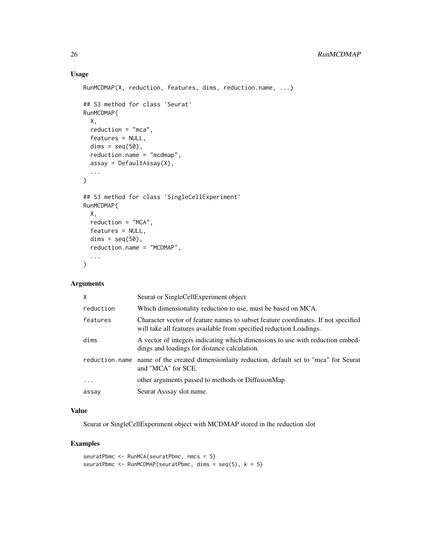## Usage

```
RunMCDMAP(X, reduction, features, dims, reduction.name, ...)
## S3 method for class 'Seurat'
RunMCDMAP(
 X,
 reduction = "mca",
 features = NULL,
 dims = seq(50),
 reduction.name = "mcdmap",
 assay = DefaultAssay(X),
  ...
\mathcal{L}## S3 method for class 'SingleCellExperiment'
RunMCDMAP(
 X,
 reduction = "MCA",
  features = NULL,
 dims = seq(50),
  reduction.name = "MCDMAP",
  ...
)
```
## Arguments

| $\mathsf{X}$ | Seurat or SingleCellExperiment object                                                                                                                    |
|--------------|----------------------------------------------------------------------------------------------------------------------------------------------------------|
| reduction    | Which dimensionality reduction to use, must be based on MCA.                                                                                             |
| features     | Character vector of feature names to subset feature coordinates. If not specified<br>will take all features available from specified reduction Loadings. |
| dims         | A vector of integers indicating which dimensions to use with reduction embed-<br>dings and loadings for distance calculation.                            |
|              | reduction name name of the created dimensionlaity reduction, default set to "mca" for Seurat<br>and "MCA" for SCE.                                       |
| $\ddotsc$    | other arguments passed to methods or DiffusionMap                                                                                                        |
| assay        | Seurat Asssay slot name.                                                                                                                                 |

## Value

Seurat or SingleCellExperiment object with MCDMAP stored in the reduction slot

## Examples

```
seuratPbmc <- RunMCA(seuratPbmc, nmcs = 5)
seuratPbmc <- RunMCDMAP(seuratPbmc, dims = seq(5), k = 5)
```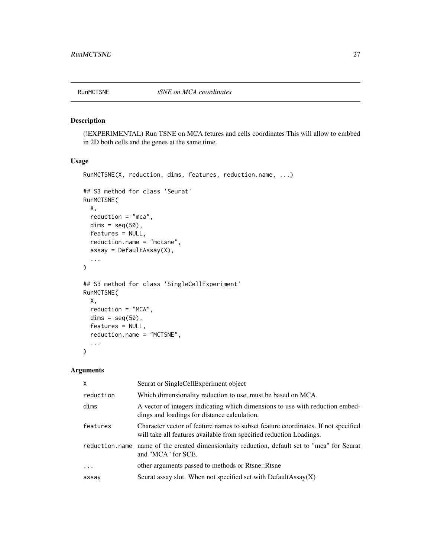<span id="page-26-0"></span>

(!EXPERIMENTAL) Run TSNE on MCA fetures and cells coordinates This will allow to embbed in 2D both cells and the genes at the same time.

## Usage

```
RunMCTSNE(X, reduction, dims, features, reduction.name, ...)
## S3 method for class 'Seurat'
RunMCTSNE(
 X,
  reduction = "mca",
  dims = seq(50),
  features = NULL,
  reduction.name = "mctsne",
  assay = DefaultAssay(X),
  ...
)
## S3 method for class 'SingleCellExperiment'
RunMCTSNE(
 X,
 reduction = "MCA",
 dims = seq(50),
  features = NULL,
  reduction.name = "MCTSNE",
  ...
\mathcal{L}
```
## Arguments

| X         | Seurat or SingleCellExperiment object                                                                                                                    |
|-----------|----------------------------------------------------------------------------------------------------------------------------------------------------------|
| reduction | Which dimensionality reduction to use, must be based on MCA.                                                                                             |
| dims      | A vector of integers indicating which dimensions to use with reduction embed-<br>dings and loadings for distance calculation.                            |
| features  | Character vector of feature names to subset feature coordinates. If not specified<br>will take all features available from specified reduction Loadings. |
|           | reduction, name name of the created dimensionlaity reduction, default set to "mca" for Seurat<br>and "MCA" for SCE.                                      |
| $\ddotsc$ | other arguments passed to methods or Rtsne::Rtsne                                                                                                        |
| assay     | Seurat assay slot. When not specified set with DefaultAssay $(X)$                                                                                        |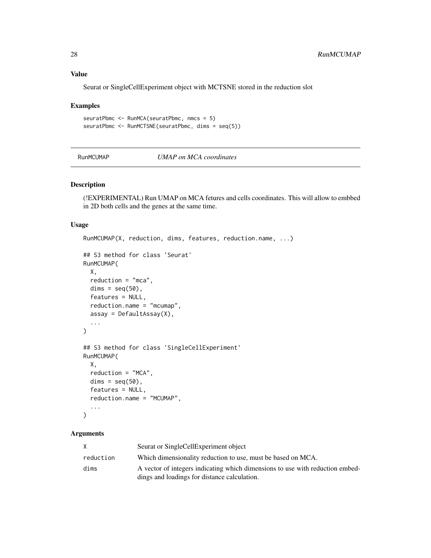#### Value

Seurat or SingleCellExperiment object with MCTSNE stored in the reduction slot

#### Examples

```
seuratPbmc <- RunMCA(seuratPbmc, nmcs = 5)
seuratPbmc <- RunMCTSNE(seuratPbmc, dims = seq(5))
```
RunMCUMAP *UMAP on MCA coordinates*

## Description

(!EXPERIMENTAL) Run UMAP on MCA fetures and cells coordinates. This will allow to embbed in 2D both cells and the genes at the same time.

#### Usage

```
RunMCUMAP(X, reduction, dims, features, reduction.name, ...)
## S3 method for class 'Seurat'
RunMCUMAP(
 X,
 reduction = "mca",
 dims = seq(50),
  features = NULL,
  reduction.name = "mcumap",
  assay = DefaultAssay(X),
  ...
\lambda## S3 method for class 'SingleCellExperiment'
RunMCUMAP(
 X,
  reduction = "MCA",
  dims = seq(50),
  features = NULL,
  reduction.name = "MCUMAP",
  ...
)
```
## Arguments

|           | Seurat or SingleCellExperiment object                                         |
|-----------|-------------------------------------------------------------------------------|
| reduction | Which dimensionality reduction to use, must be based on MCA.                  |
| dims      | A vector of integers indicating which dimensions to use with reduction embed- |
|           | dings and loadings for distance calculation.                                  |

<span id="page-27-0"></span>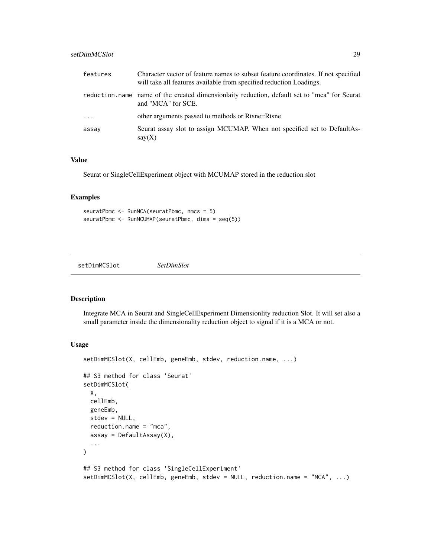## <span id="page-28-0"></span>setDimMCSlot 29

| features | Character vector of feature names to subset feature coordinates. If not specified<br>will take all features available from specified reduction Loadings. |
|----------|----------------------------------------------------------------------------------------------------------------------------------------------------------|
|          | reduction, name name of the created dimensionlaity reduction, default set to "mca" for Seurat<br>and "MCA" for SCE.                                      |
| $\cdots$ | other arguments passed to methods or Rtsne::Rtsne                                                                                                        |
| assay    | Seurat assay slot to assign MCUMAP. When not specified set to DefaultAs-<br>say(X)                                                                       |

## Value

Seurat or SingleCellExperiment object with MCUMAP stored in the reduction slot

## Examples

seuratPbmc <- RunMCA(seuratPbmc, nmcs = 5) seuratPbmc <- RunMCUMAP(seuratPbmc, dims = seq(5))

setDimMCSlot *SetDimSlot*

### Description

Integrate MCA in Seurat and SingleCellExperiment Dimensionlity reduction Slot. It will set also a small parameter inside the dimensionality reduction object to signal if it is a MCA or not.

```
setDimMCSlot(X, cellEmb, geneEmb, stdev, reduction.name, ...)
## S3 method for class 'Seurat'
setDimMCSlot(
 X,
 cellEmb,
 geneEmb,
 stdev = NULL,
 reduction.name = "mca",
 assay = DefaultAssay(X),
  ...
\lambda## S3 method for class 'SingleCellExperiment'
setDimMCSlot(X, cellEmb, geneEmb, stdev = NULL, reduction.name = "MCA", ...)
```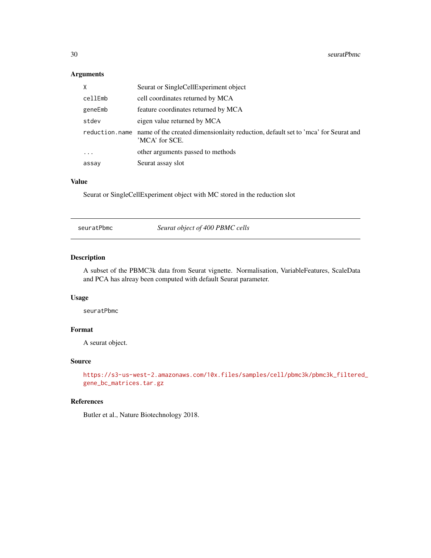## Arguments

| X       | Seurat or SingleCellExperiment object                                                                              |
|---------|--------------------------------------------------------------------------------------------------------------------|
| cellEmb | cell coordinates returned by MCA                                                                                   |
| geneEmb | feature coordinates returned by MCA                                                                                |
| stdev   | eigen value returned by MCA                                                                                        |
|         | reduction.name name of the created dimensionality reduction, default set to 'mca' for Seurat and<br>'MCA' for SCE. |
| $\cdot$ | other arguments passed to methods                                                                                  |
| assay   | Seurat assay slot                                                                                                  |

## Value

Seurat or SingleCellExperiment object with MC stored in the reduction slot

seuratPbmc *Seurat object of 400 PBMC cells*

#### Description

A subset of the PBMC3k data from Seurat vignette. Normalisation, VariableFeatures, ScaleData and PCA has alreay been computed with default Seurat parameter.

## Usage

seuratPbmc

## Format

A seurat object.

#### Source

```
https://s3-us-west-2.amazonaws.com/10x.files/samples/cell/pbmc3k/pbmc3k_filtered_
gene_bc_matrices.tar.gz
```
#### References

Butler et al., Nature Biotechnology 2018.

<span id="page-29-0"></span>